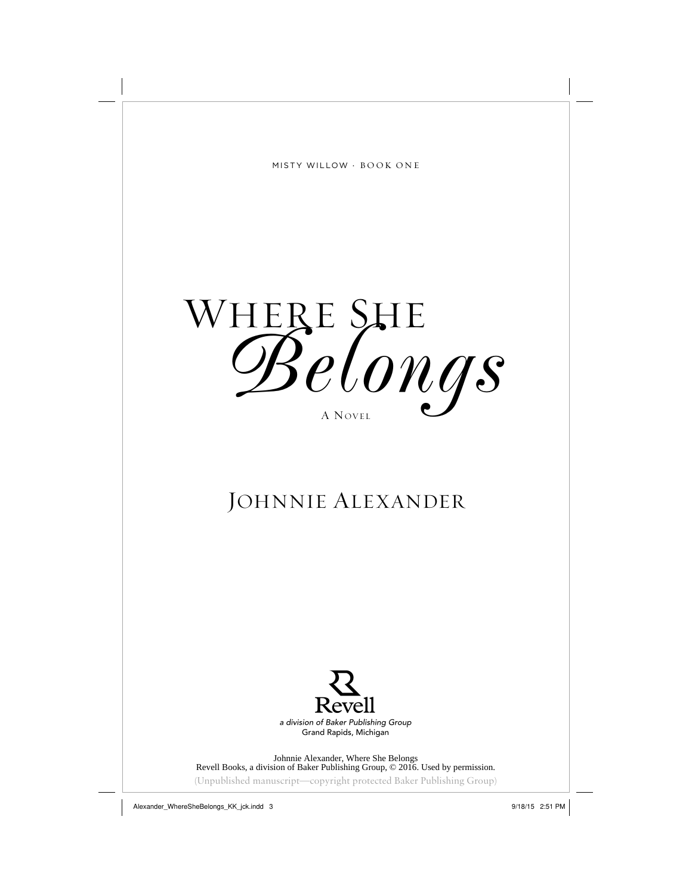

# JOHNNIE ALEXANDER



Johnnie Alexander, Where She Belongs Revell Books, a division of Baker Publishing Group, © 2016. Used by permission.

(Unpublished manuscript—copyright protected Baker Publishing Group)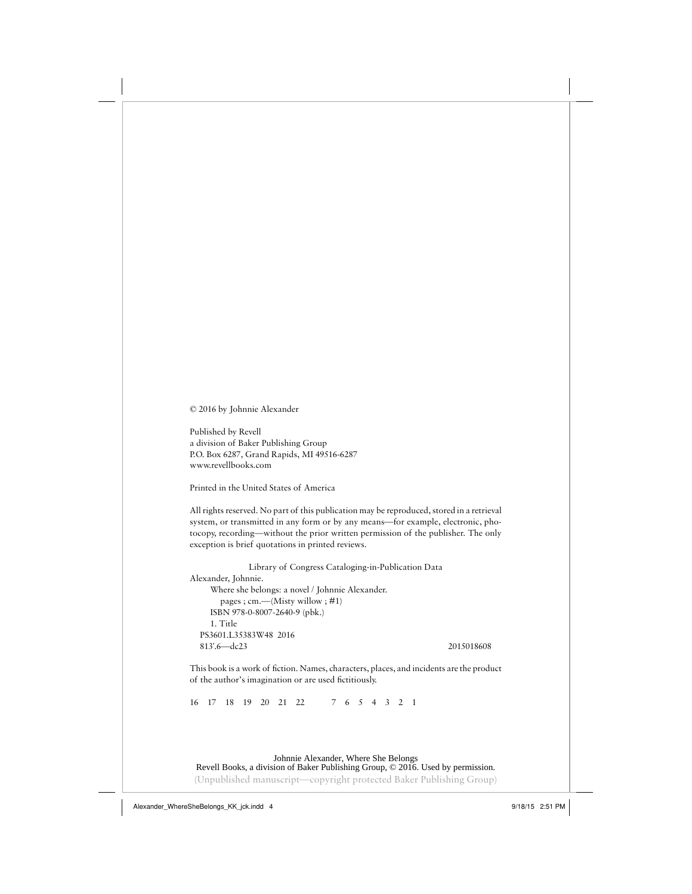© 2016 by Johnnie Alexander

Published by Revell a division of Baker Publishing Group P.O. Box 6287, Grand Rapids, MI 49516-6287 www.revellbooks.com

Printed in the United States of America

All rights reserved. No part of this publication may be reproduced, stored in a retrieval system, or transmitted in any form or by any means—for example, electronic, photocopy, recording—without the prior written permission of the publisher. The only exception is brief quotations in printed reviews.

Library of Congress Cataloging-in-Publication Data Alexander, Johnnie. Where she belongs: a novel / Johnnie Alexander. pages ; cm.—(Misty willow ; #1) ISBN 978-0-8007-2640-9 (pbk.) 1. Title PS3601.L35383W48 2016 813 .6—dc23 2015018608

This book is a work of fiction. Names, characters, places, and incidents are the product of the author's imagination or are used fictitiously.

16 17 18 19 20 21 22 7 6 5 4 3 2 1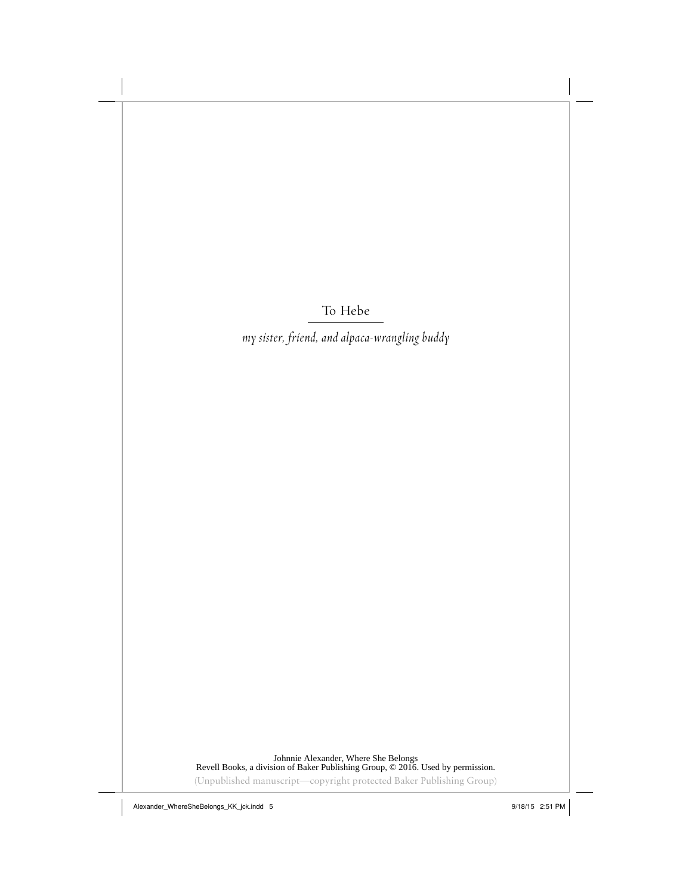### To Hebe

*my sister, friend, and alpaca-wrangling buddy*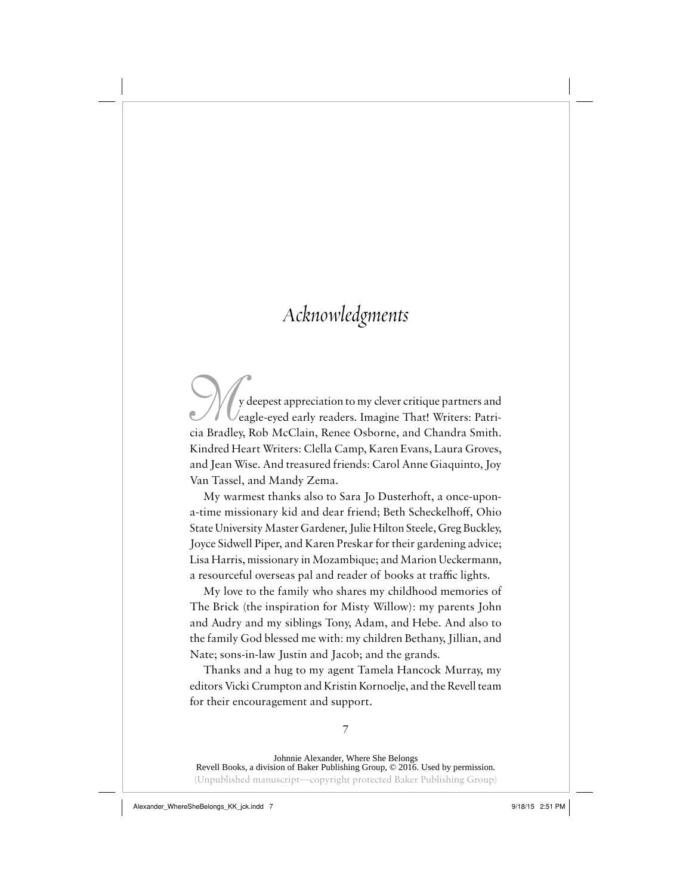# *Acknowledgments*

Weepest appreciation to my clever critique partners and Ceagle-eyed early readers. Imagine That! Writers: Patricia Bradley, Rob McClain, Renee Osborne, and Chandra Smith. eagle-eyed early readers. Imagine That! Writers: Patri-Kindred Heart Writers: Clella Camp, Karen Evans, Laura Groves, and Jean Wise. And treasured friends: Carol Anne Giaquinto, Joy Van Tassel, and Mandy Zema.

My warmest thanks also to Sara Jo Dusterhoft, a once-upona-time missionary kid and dear friend; Beth Scheckelhoff, Ohio State University Master Gardener, Julie Hilton Steele, Greg Buckley, Joyce Sidwell Piper, and Karen Preskar for their gardening advice; Lisa Harris, missionary in Mozambique; and Marion Ueckermann, a resourceful overseas pal and reader of books at traffic lights.

My love to the family who shares my childhood memories of The Brick (the inspiration for Misty Willow): my parents John and Audry and my siblings Tony, Adam, and Hebe. And also to the family God blessed me with: my children Bethany, Jillian, and Nate; sons-in-law Justin and Jacob; and the grands.

Thanks and a hug to my agent Tamela Hancock Murray, my editors Vicki Crumpton and Kristin Kornoelje, and the Revell team for their encouragement and support.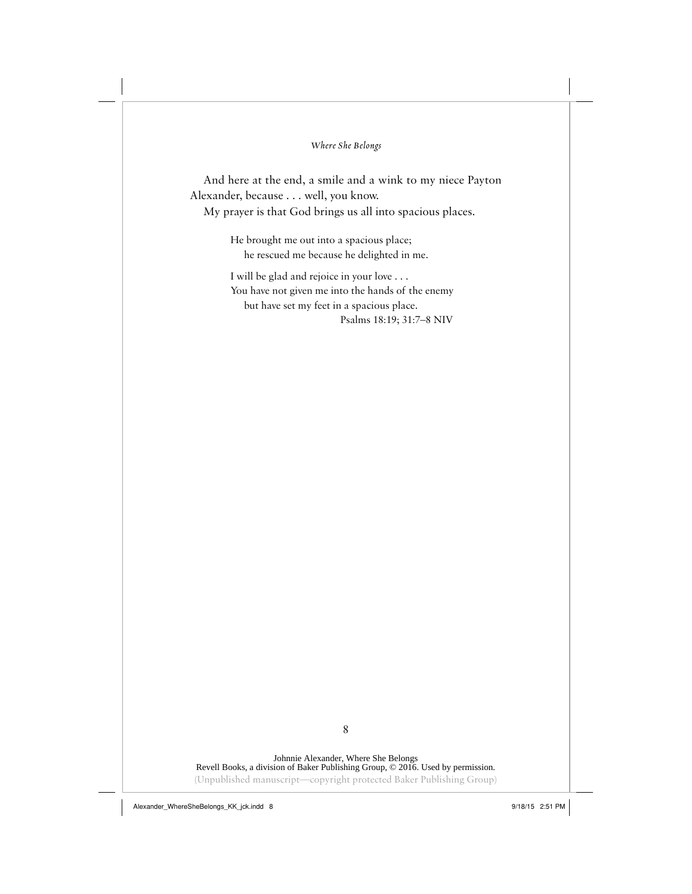#### *Where She Belongs*

And here at the end, a smile and a wink to my niece Payton Alexander, because . . . well, you know.

My prayer is that God brings us all into spacious places.

He brought me out into a spacious place; he rescued me because he delighted in me.

I will be glad and rejoice in your love . . . You have not given me into the hands of the enemy but have set my feet in a spacious place. Psalms 18:19; 31:7–8 NIV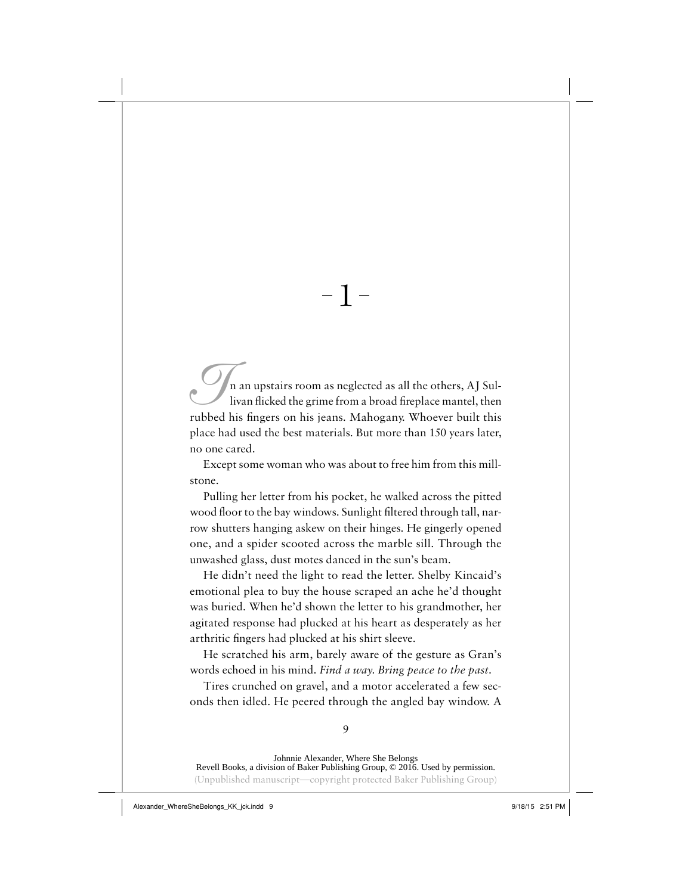In an upstairs room as neglected as all the others, AJ Sullivan flicked the grime from a broad fireplace mantel, then rubbed his fingers on his jeans. Mahogany. Whoever built this place had used the best materials. But more than 150 years later, no one cared.

- 1

Except some woman who was about to free him from this millstone.

Pulling her letter from his pocket, he walked across the pitted wood floor to the bay windows. Sunlight filtered through tall, narrow shutters hanging askew on their hinges. He gingerly opened one, and a spider scooted across the marble sill. Through the unwashed glass, dust motes danced in the sun's beam.

He didn't need the light to read the letter. Shelby Kincaid's emotional plea to buy the house scraped an ache he'd thought was buried. When he'd shown the letter to his grandmother, her agitated response had plucked at his heart as desperately as her arthritic fingers had plucked at his shirt sleeve.

He scratched his arm, barely aware of the gesture as Gran's words echoed in his mind. *Find a way. Bring peace to the past*.

Tires crunched on gravel, and a motor accelerated a few seconds then idled. He peered through the angled bay window. A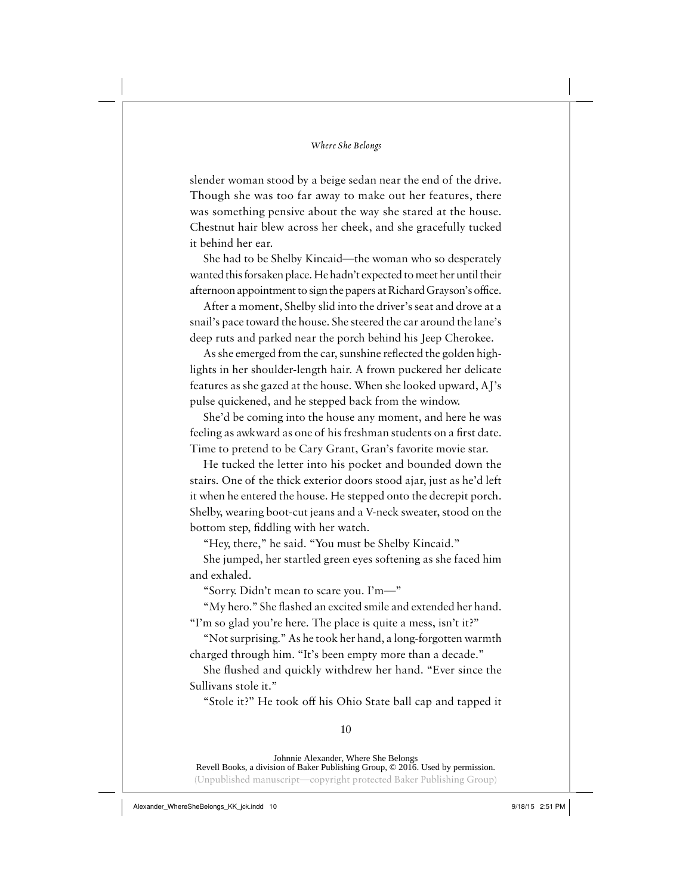slender woman stood by a beige sedan near the end of the drive. Though she was too far away to make out her features, there was something pensive about the way she stared at the house. Chestnut hair blew across her cheek, and she gracefully tucked it behind her ear.

She had to be Shelby Kincaid—the woman who so desperately wanted this forsaken place. He hadn't expected to meet her until their afternoon appointment to sign the papers at Richard Grayson's office.

After a moment, Shelby slid into the driver's seat and drove at a snail's pace toward the house. She steered the car around the lane's deep ruts and parked near the porch behind his Jeep Cherokee.

As she emerged from the car, sunshine reflected the golden highlights in her shoulder-length hair. A frown puckered her delicate features as she gazed at the house. When she looked upward, AJ's pulse quickened, and he stepped back from the window.

She'd be coming into the house any moment, and here he was feeling as awkward as one of his freshman students on a first date. Time to pretend to be Cary Grant, Gran's favorite movie star.

He tucked the letter into his pocket and bounded down the stairs. One of the thick exterior doors stood ajar, just as he'd left it when he entered the house. He stepped onto the decrepit porch. Shelby, wearing boot-cut jeans and a V-neck sweater, stood on the bottom step, fiddling with her watch.

"Hey, there," he said. "You must be Shelby Kincaid."

She jumped, her startled green eyes softening as she faced him and exhaled.

"Sorry. Didn't mean to scare you. I'm—"

"My hero." She flashed an excited smile and extended her hand. "I'm so glad you're here. The place is quite a mess, isn't it?"

"Not surprising." As he took her hand, a long-forgotten warmth charged through him. "It's been empty more than a decade."

She flushed and quickly withdrew her hand. "Ever since the Sullivans stole it."

"Stole it?" He took off his Ohio State ball cap and tapped it

#### 10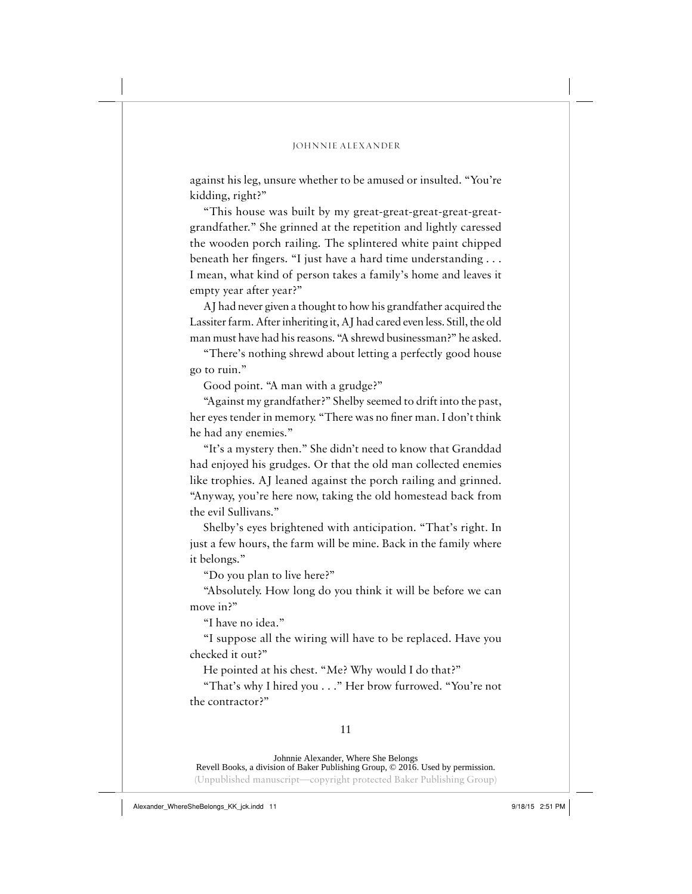against his leg, unsure whether to be amused or insulted. "You're kidding, right?"

"This house was built by my great-great-great-great-greatgrandfather." She grinned at the repetition and lightly caressed the wooden porch railing. The splintered white paint chipped beneath her fingers. "I just have a hard time understanding . . . I mean, what kind of person takes a family's home and leaves it empty year after year?"

AJ had never given a thought to how his grandfather acquired the Lassiter farm. After inheriting it, AJ had cared even less. Still, the old man must have had his reasons. "A shrewd businessman?" he asked.

"There's nothing shrewd about letting a perfectly good house go to ruin."

Good point. "A man with a grudge?"

"Against my grandfather?" Shelby seemed to drift into the past, her eyes tender in memory. "There was no finer man. I don't think he had any enemies."

"It's a mystery then." She didn't need to know that Granddad had enjoyed his grudges. Or that the old man collected enemies like trophies. AJ leaned against the porch railing and grinned. "Anyway, you're here now, taking the old homestead back from the evil Sullivans."

Shelby's eyes brightened with anticipation. "That's right. In just a few hours, the farm will be mine. Back in the family where it belongs."

"Do you plan to live here?"

"Absolutely. How long do you think it will be before we can move in?"

"I have no idea."

"I suppose all the wiring will have to be replaced. Have you checked it out?"

He pointed at his chest. "Me? Why would I do that?"

"That's why I hired you . . ." Her brow furrowed. "You're not the contractor?"

#### 11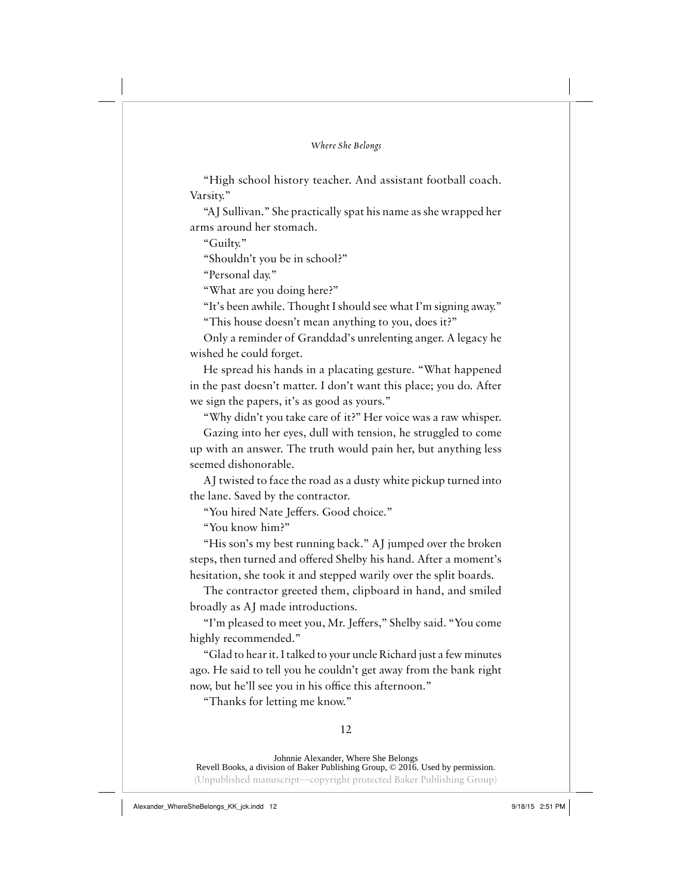"High school history teacher. And assistant football coach. Varsity."

"AJ Sullivan." She practically spat his name as she wrapped her arms around her stomach.

"Guilty."

"Shouldn't you be in school?"

"Personal day."

"What are you doing here?"

"It's been awhile. Thought I should see what I'm signing away."

"This house doesn't mean anything to you, does it?"

Only a reminder of Granddad's unrelenting anger. A legacy he wished he could forget.

He spread his hands in a placating gesture. "What happened in the past doesn't matter. I don't want this place; you do. After we sign the papers, it's as good as yours."

"Why didn't you take care of it?" Her voice was a raw whisper. Gazing into her eyes, dull with tension, he struggled to come up with an answer. The truth would pain her, but anything less seemed dishonorable.

AJ twisted to face the road as a dusty white pickup turned into the lane. Saved by the contractor.

"You hired Nate Jeffers. Good choice."

"You know him?"

"His son's my best running back." AJ jumped over the broken steps, then turned and offered Shelby his hand. After a moment's hesitation, she took it and stepped warily over the split boards.

The contractor greeted them, clipboard in hand, and smiled broadly as AJ made introductions.

"I'm pleased to meet you, Mr. Jeffers," Shelby said. "You come highly recommended."

"Glad to hear it. I talked to your uncle Richard just a few minutes ago. He said to tell you he couldn't get away from the bank right now, but he'll see you in his office this afternoon."

"Thanks for letting me know."

### 12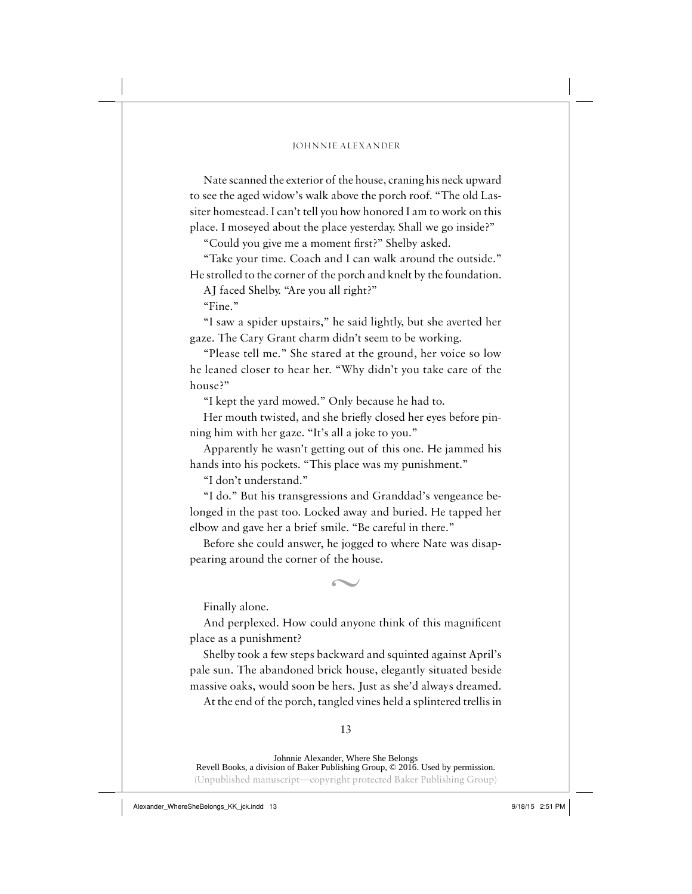Nate scanned the exterior of the house, craning his neck upward to see the aged widow's walk above the porch roof. "The old Lassiter homestead. I can't tell you how honored I am to work on this place. I moseyed about the place yesterday. Shall we go inside?"

"Could you give me a moment first?" Shelby asked.

"Take your time. Coach and I can walk around the outside." He strolled to the corner of the porch and knelt by the foundation.

AJ faced Shelby. "Are you all right?"

"Fine""

"I saw a spider upstairs," he said lightly, but she averted her gaze. The Cary Grant charm didn't seem to be working.

"Please tell me." She stared at the ground, her voice so low he leaned closer to hear her. "Why didn't you take care of the house?"

"I kept the yard mowed." Only because he had to.

Her mouth twisted, and she briefly closed her eyes before pinning him with her gaze. "It's all a joke to you."

Apparently he wasn't getting out of this one. He jammed his hands into his pockets. "This place was my punishment."

"I don't understand."

"I do." But his transgressions and Granddad's vengeance belonged in the past too. Locked away and buried. He tapped her elbow and gave her a brief smile. "Be careful in there."

Before she could answer, he jogged to where Nate was disappearing around the corner of the house.

 $\sim$ 

Finally alone.

And perplexed. How could anyone think of this magnificent place as a punishment?

Shelby took a few steps backward and squinted against April's pale sun. The abandoned brick house, elegantly situated beside massive oaks, would soon be hers. Just as she'd always dreamed.

At the end of the porch, tangled vines held a splintered trellis in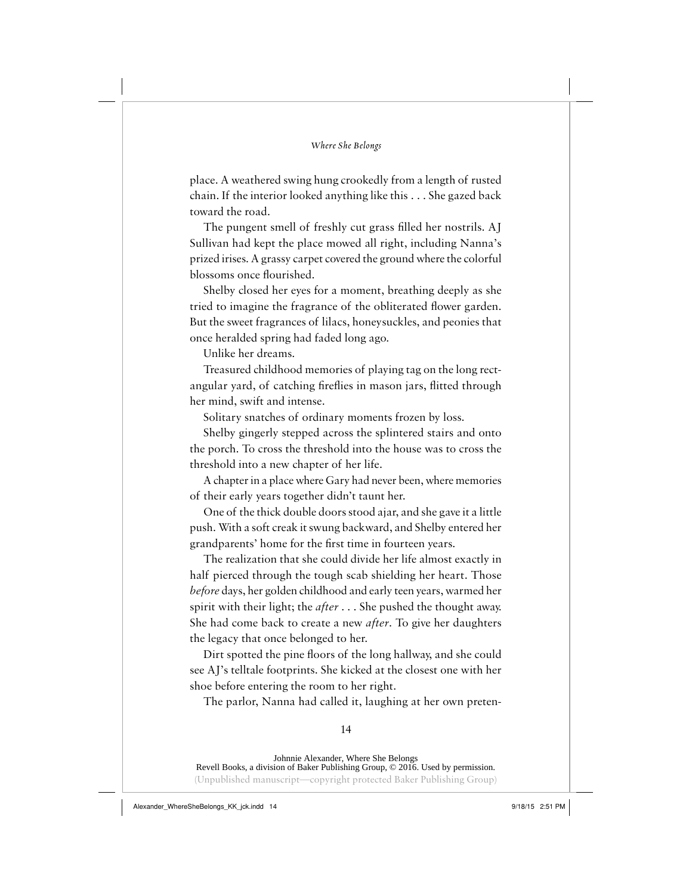place. A weathered swing hung crookedly from a length of rusted chain. If the interior looked anything like this . . . She gazed back toward the road.

The pungent smell of freshly cut grass filled her nostrils. AJ Sullivan had kept the place mowed all right, including Nanna's prized irises. A grassy carpet covered the ground where the colorful blossoms once flourished.

Shelby closed her eyes for a moment, breathing deeply as she tried to imagine the fragrance of the obliterated flower garden. But the sweet fragrances of lilacs, honeysuckles, and peonies that once heralded spring had faded long ago.

Unlike her dreams.

Treasured childhood memories of playing tag on the long rectangular yard, of catching fireflies in mason jars, flitted through her mind, swift and intense.

Solitary snatches of ordinary moments frozen by loss.

Shelby gingerly stepped across the splintered stairs and onto the porch. To cross the threshold into the house was to cross the threshold into a new chapter of her life.

A chapter in a place where Gary had never been, where memories of their early years together didn't taunt her.

One of the thick double doors stood ajar, and she gave it a little push. With a soft creak it swung backward, and Shelby entered her grandparents' home for the first time in fourteen years.

The realization that she could divide her life almost exactly in half pierced through the tough scab shielding her heart. Those *before* days, her golden childhood and early teen years, warmed her spirit with their light; the *after* . . . She pushed the thought away. She had come back to create a new *after*. To give her daughters the legacy that once belonged to her.

Dirt spotted the pine floors of the long hallway, and she could see AJ's telltale footprints. She kicked at the closest one with her shoe before entering the room to her right.

The parlor, Nanna had called it, laughing at her own preten-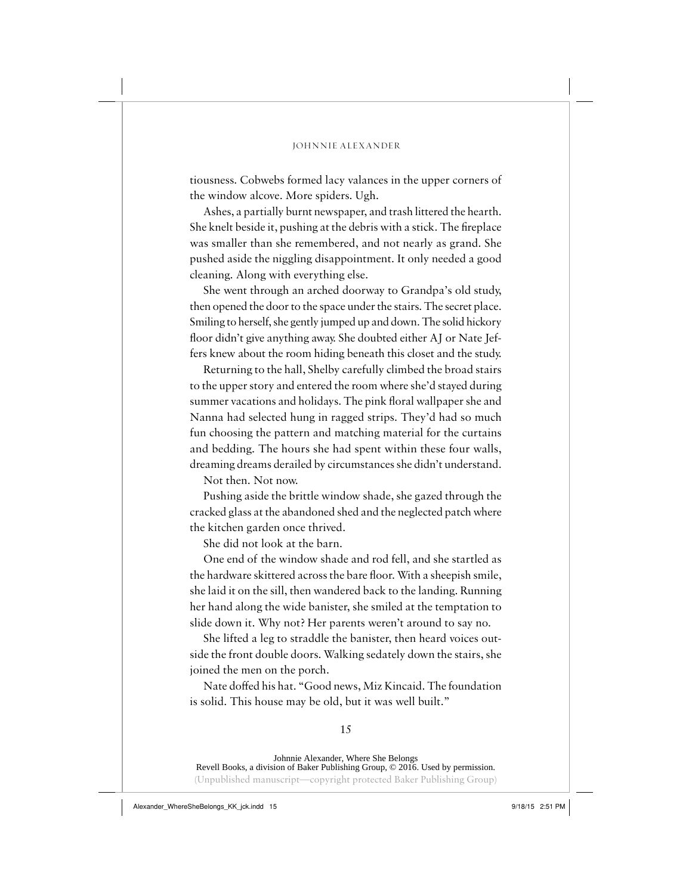tiousness. Cobwebs formed lacy valances in the upper corners of the window alcove. More spiders. Ugh.

Ashes, a partially burnt newspaper, and trash littered the hearth. She knelt beside it, pushing at the debris with a stick. The fireplace was smaller than she remembered, and not nearly as grand. She pushed aside the niggling disappointment. It only needed a good cleaning. Along with everything else.

She went through an arched doorway to Grandpa's old study, then opened the door to the space under the stairs. The secret place. Smiling to herself, she gently jumped up and down. The solid hickory floor didn't give anything away. She doubted either AJ or Nate Jeffers knew about the room hiding beneath this closet and the study.

Returning to the hall, Shelby carefully climbed the broad stairs to the upper story and entered the room where she'd stayed during summer vacations and holidays. The pink floral wallpaper she and Nanna had selected hung in ragged strips. They'd had so much fun choosing the pattern and matching material for the curtains and bedding. The hours she had spent within these four walls, dreaming dreams derailed by circumstances she didn't understand.

Not then. Not now.

Pushing aside the brittle window shade, she gazed through the cracked glass at the abandoned shed and the neglected patch where the kitchen garden once thrived.

She did not look at the barn.

One end of the window shade and rod fell, and she startled as the hardware skittered across the bare floor. With a sheepish smile, she laid it on the sill, then wandered back to the landing. Running her hand along the wide banister, she smiled at the temptation to slide down it. Why not? Her parents weren't around to say no.

She lifted a leg to straddle the banister, then heard voices outside the front double doors. Walking sedately down the stairs, she joined the men on the porch.

Nate doffed his hat. "Good news, Miz Kincaid. The foundation is solid. This house may be old, but it was well built."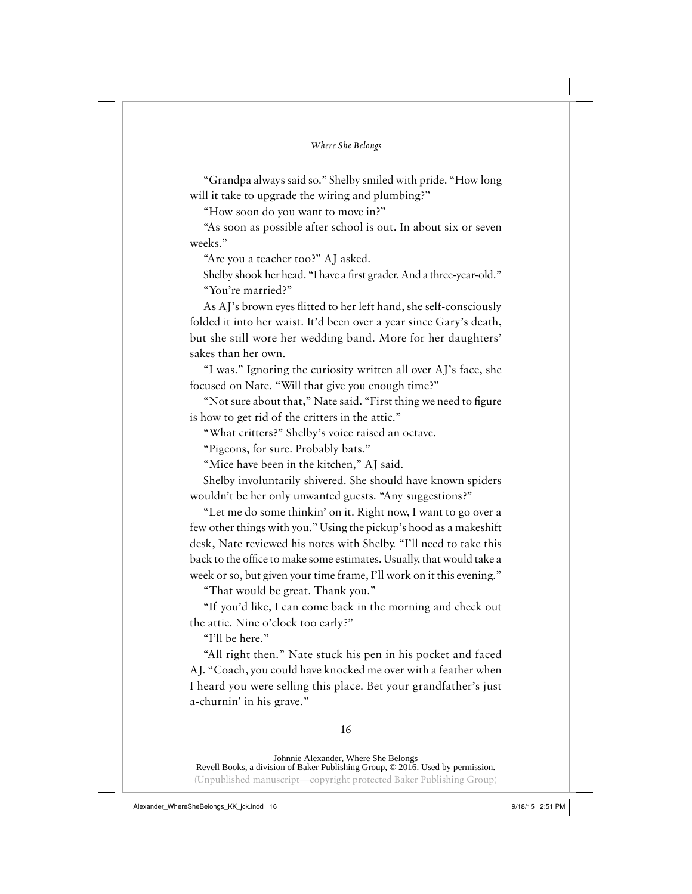"Grandpa always said so." Shelby smiled with pride. "How long will it take to upgrade the wiring and plumbing?"

"How soon do you want to move in?"

"As soon as possible after school is out. In about six or seven weeks."

"Are you a teacher too?" AJ asked.

Shelby shook her head. "I have a first grader. And a three-year-old." "You're married?"

As AJ's brown eyes flitted to her left hand, she self-consciously folded it into her waist. It'd been over a year since Gary's death, but she still wore her wedding band. More for her daughters' sakes than her own.

"I was." Ignoring the curiosity written all over AJ's face, she focused on Nate. "Will that give you enough time?"

"Not sure about that," Nate said. "First thing we need to figure is how to get rid of the critters in the attic."

"What critters?" Shelby's voice raised an octave.

"Pigeons, for sure. Probably bats."

"Mice have been in the kitchen," AJ said.

Shelby involuntarily shivered. She should have known spiders wouldn't be her only unwanted guests. "Any suggestions?"

"Let me do some thinkin' on it. Right now, I want to go over a few other things with you." Using the pickup's hood as a makeshift desk, Nate reviewed his notes with Shelby. "I'll need to take this back to the office to make some estimates. Usually, that would take a week or so, but given your time frame, I'll work on it this evening."

"That would be great. Thank you."

"If you'd like, I can come back in the morning and check out the attic. Nine o'clock too early?"

"I'll be here."

"All right then." Nate stuck his pen in his pocket and faced AJ. "Coach, you could have knocked me over with a feather when I heard you were selling this place. Bet your grandfather's just a-churnin' in his grave."